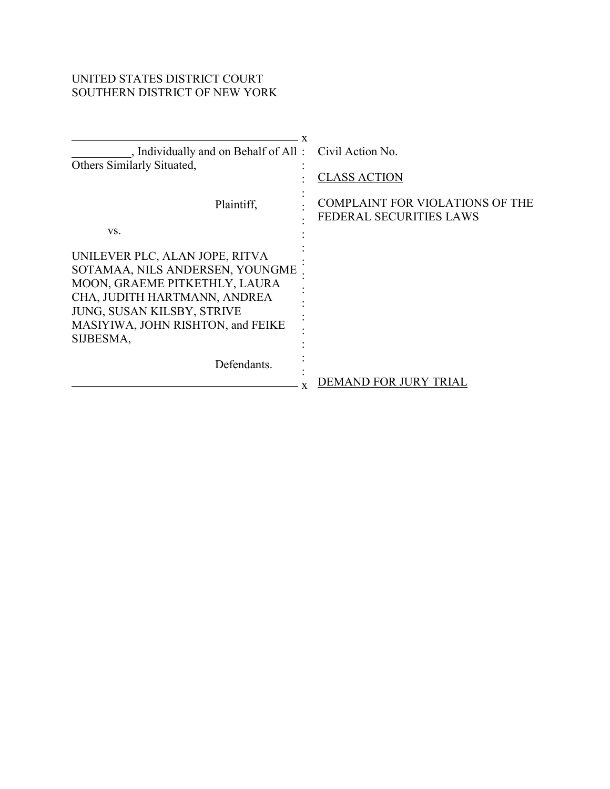# UNITED STATES DISTRICT COURT SOUTHERN DISTRICT OF NEW YORK

| , Individually and on Behalf of All: Civil Action No.<br>Others Similarly Situated,                                                                                                                                               | <b>CLASS ACTION</b>                                                      |
|-----------------------------------------------------------------------------------------------------------------------------------------------------------------------------------------------------------------------------------|--------------------------------------------------------------------------|
| Plaintiff,<br>VS.                                                                                                                                                                                                                 | <b>COMPLAINT FOR VIOLATIONS OF THE</b><br><b>FEDERAL SECURITIES LAWS</b> |
| UNILEVER PLC, ALAN JOPE, RITVA<br>SOTAMAA, NILS ANDERSEN, YOUNGME<br>MOON, GRAEME PITKETHLY, LAURA<br>CHA, JUDITH HARTMANN, ANDREA<br>JUNG, SUSAN KILSBY, STRIVE<br>MASIYIWA, JOHN RISHTON, and FEIKE<br>SIJBESMA,<br>Defendants. |                                                                          |
|                                                                                                                                                                                                                                   | <b>DEMAND FOR JURY TRIAL</b>                                             |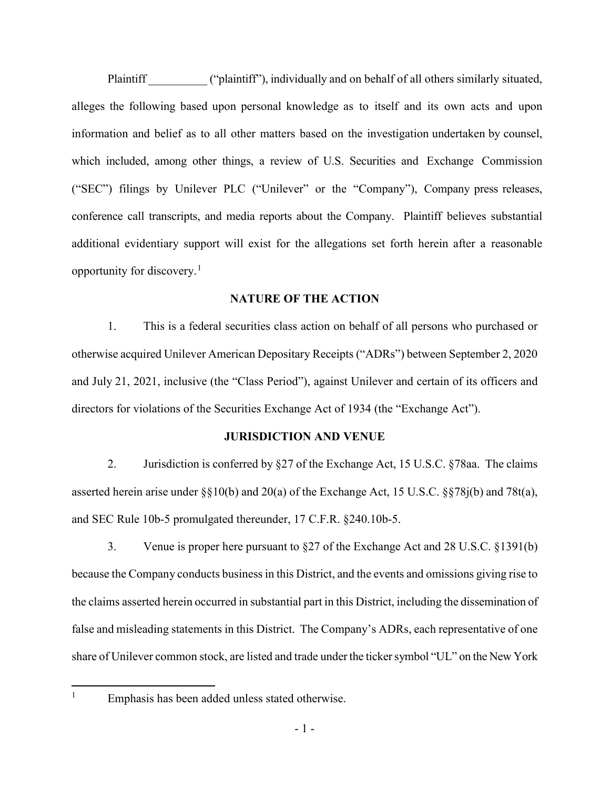Plaintiff **The Contract ("plaintiff")**, individually and on behalf of all others similarly situated, alleges the following based upon personal knowledge as to itself and its own acts and upon information and belief as to all other matters based on the investigation undertaken by counsel, which included, among other things, a review of U.S. Securities and Exchange Commission ("SEC") filings by Unilever PLC ("Unilever" or the "Company"), Company press releases, conference call transcripts, and media reports about the Company. Plaintiff believes substantial additional evidentiary support will exist for the allegations set forth herein after a reasonable opportunity for discovery.[1](#page-1-0)

### **NATURE OF THE ACTION**

1. This is a federal securities class action on behalf of all persons who purchased or otherwise acquired Unilever American Depositary Receipts ("ADRs") between September 2, 2020 and July 21, 2021, inclusive (the "Class Period"), against Unilever and certain of its officers and directors for violations of the Securities Exchange Act of 1934 (the "Exchange Act").

### **JURISDICTION AND VENUE**

2. Jurisdiction is conferred by §27 of the Exchange Act, 15 U.S.C. §78aa. The claims asserted herein arise under §§10(b) and 20(a) of the Exchange Act, 15 U.S.C. §§78j(b) and 78t(a), and SEC Rule 10b-5 promulgated thereunder, 17 C.F.R. §240.10b-5.

3. Venue is proper here pursuant to §27 of the Exchange Act and 28 U.S.C. §1391(b) because the Company conducts business in this District, and the events and omissions giving rise to the claims asserted herein occurred in substantial part in this District, including the dissemination of false and misleading statements in this District. The Company's ADRs, each representative of one share of Unilever common stock, are listed and trade under the ticker symbol "UL" on the New York

<span id="page-1-0"></span>

<sup>&</sup>lt;sup>1</sup> Emphasis has been added unless stated otherwise.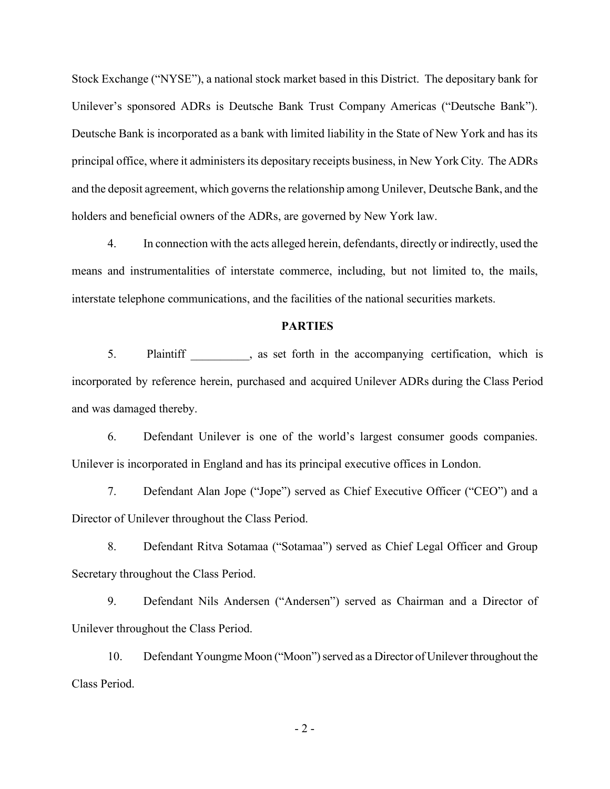Stock Exchange ("NYSE"), a national stock market based in this District. The depositary bank for Unilever's sponsored ADRs is Deutsche Bank Trust Company Americas ("Deutsche Bank"). Deutsche Bank is incorporated as a bank with limited liability in the State of New York and has its principal office, where it administers its depositary receipts business, in New York City. The ADRs and the deposit agreement, which governs the relationship among Unilever, Deutsche Bank, and the holders and beneficial owners of the ADRs, are governed by New York law.

4. In connection with the acts alleged herein, defendants, directly or indirectly, used the means and instrumentalities of interstate commerce, including, but not limited to, the mails, interstate telephone communications, and the facilities of the national securities markets.

#### **PARTIES**

5. Plaintiff and particular particular set forth in the accompanying certification, which is incorporated by reference herein, purchased and acquired Unilever ADRs during the Class Period and was damaged thereby.

6. Defendant Unilever is one of the world's largest consumer goods companies. Unilever is incorporated in England and has its principal executive offices in London.

7. Defendant Alan Jope ("Jope") served as Chief Executive Officer ("CEO") and a Director of Unilever throughout the Class Period.

8. Defendant Ritva Sotamaa ("Sotamaa") served as Chief Legal Officer and Group Secretary throughout the Class Period.

9. Defendant Nils Andersen ("Andersen") served as Chairman and a Director of Unilever throughout the Class Period.

10. Defendant Youngme Moon ("Moon") served as a Director of Unilever throughout the Class Period.

- 2 -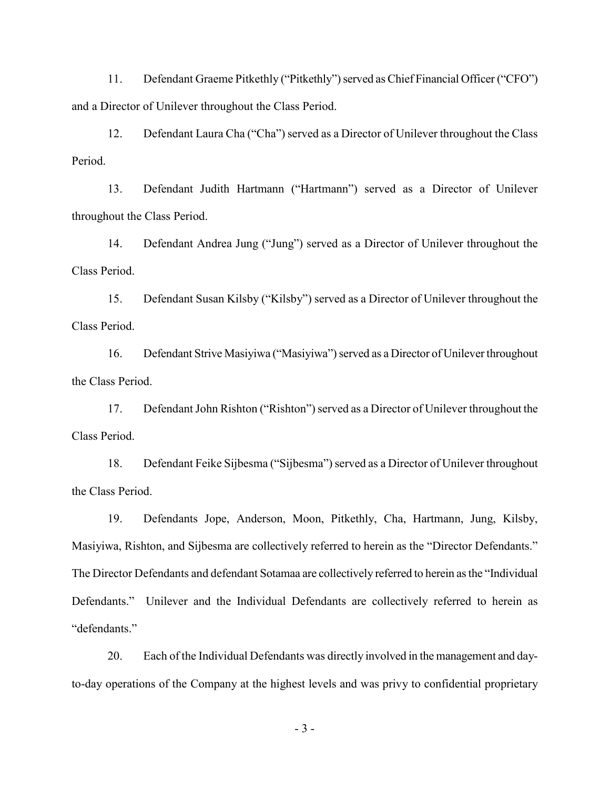11. Defendant Graeme Pitkethly ("Pitkethly") served as Chief Financial Officer ("CFO") and a Director of Unilever throughout the Class Period.

12. Defendant Laura Cha ("Cha") served as a Director of Unilever throughout the Class Period.

13. Defendant Judith Hartmann ("Hartmann") served as a Director of Unilever throughout the Class Period.

14. Defendant Andrea Jung ("Jung") served as a Director of Unilever throughout the Class Period.

15. Defendant Susan Kilsby ("Kilsby") served as a Director of Unilever throughout the Class Period.

16. Defendant Strive Masiyiwa ("Masiyiwa") served as a Director of Unilever throughout the Class Period.

17. Defendant John Rishton ("Rishton") served as a Director of Unilever throughout the Class Period.

18. Defendant Feike Sijbesma ("Sijbesma") served as a Director of Unilever throughout the Class Period.

19. Defendants Jope, Anderson, Moon, Pitkethly, Cha, Hartmann, Jung, Kilsby, Masiyiwa, Rishton, and Sijbesma are collectively referred to herein as the "Director Defendants." The Director Defendants and defendant Sotamaa are collectively referred to herein as the "Individual Defendants." Unilever and the Individual Defendants are collectively referred to herein as "defendants."

20. Each of the Individual Defendants was directly involved in the management and dayto-day operations of the Company at the highest levels and was privy to confidential proprietary

- 3 -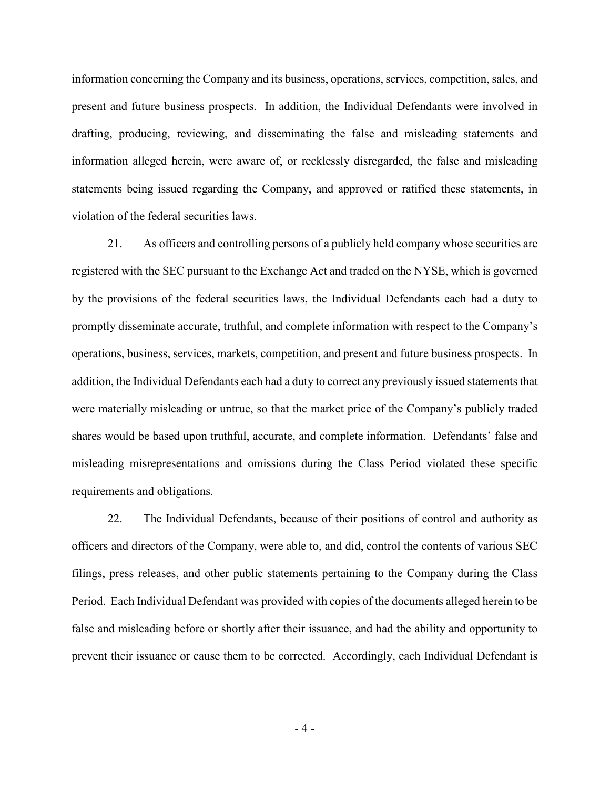information concerning the Company and its business, operations, services, competition, sales, and present and future business prospects. In addition, the Individual Defendants were involved in drafting, producing, reviewing, and disseminating the false and misleading statements and information alleged herein, were aware of, or recklessly disregarded, the false and misleading statements being issued regarding the Company, and approved or ratified these statements, in violation of the federal securities laws.

21. As officers and controlling persons of a publicly held company whose securities are registered with the SEC pursuant to the Exchange Act and traded on the NYSE, which is governed by the provisions of the federal securities laws, the Individual Defendants each had a duty to promptly disseminate accurate, truthful, and complete information with respect to the Company's operations, business, services, markets, competition, and present and future business prospects. In addition, the Individual Defendants each had a duty to correct any previously issued statements that were materially misleading or untrue, so that the market price of the Company's publicly traded shares would be based upon truthful, accurate, and complete information. Defendants' false and misleading misrepresentations and omissions during the Class Period violated these specific requirements and obligations.

22. The Individual Defendants, because of their positions of control and authority as officers and directors of the Company, were able to, and did, control the contents of various SEC filings, press releases, and other public statements pertaining to the Company during the Class Period. Each Individual Defendant was provided with copies of the documents alleged herein to be false and misleading before or shortly after their issuance, and had the ability and opportunity to prevent their issuance or cause them to be corrected. Accordingly, each Individual Defendant is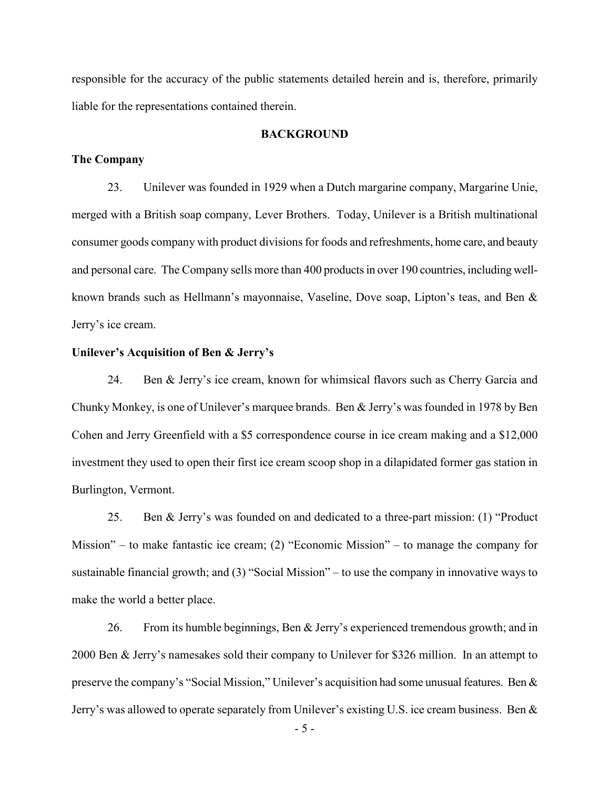responsible for the accuracy of the public statements detailed herein and is, therefore, primarily liable for the representations contained therein.

#### **BACKGROUND**

#### **The Company**

23. Unilever was founded in 1929 when a Dutch margarine company, Margarine Unie, merged with a British soap company, Lever Brothers. Today, Unilever is a British multinational consumer goods company with product divisions for foods and refreshments, home care, and beauty and personal care. The Company sells more than 400 products in over 190 countries, including wellknown brands such as Hellmann's mayonnaise, Vaseline, Dove soap, Lipton's teas, and Ben & Jerry's ice cream.

#### **Unilever's Acquisition of Ben & Jerry's**

24. Ben & Jerry's ice cream, known for whimsical flavors such as Cherry Garcia and Chunky Monkey, is one of Unilever's marquee brands. Ben & Jerry's was founded in 1978 by Ben Cohen and Jerry Greenfield with a \$5 correspondence course in ice cream making and a \$12,000 investment they used to open their first ice cream scoop shop in a dilapidated former gas station in Burlington, Vermont.

25. Ben & Jerry's was founded on and dedicated to a three-part mission: (1) "Product Mission" – to make fantastic ice cream; (2) "Economic Mission" – to manage the company for sustainable financial growth; and (3) "Social Mission" – to use the company in innovative ways to make the world a better place.

26. From its humble beginnings, Ben & Jerry's experienced tremendous growth; and in 2000 Ben & Jerry's namesakes sold their company to Unilever for \$326 million. In an attempt to preserve the company's "Social Mission," Unilever's acquisition had some unusual features. Ben & Jerry's was allowed to operate separately from Unilever's existing U.S. ice cream business. Ben &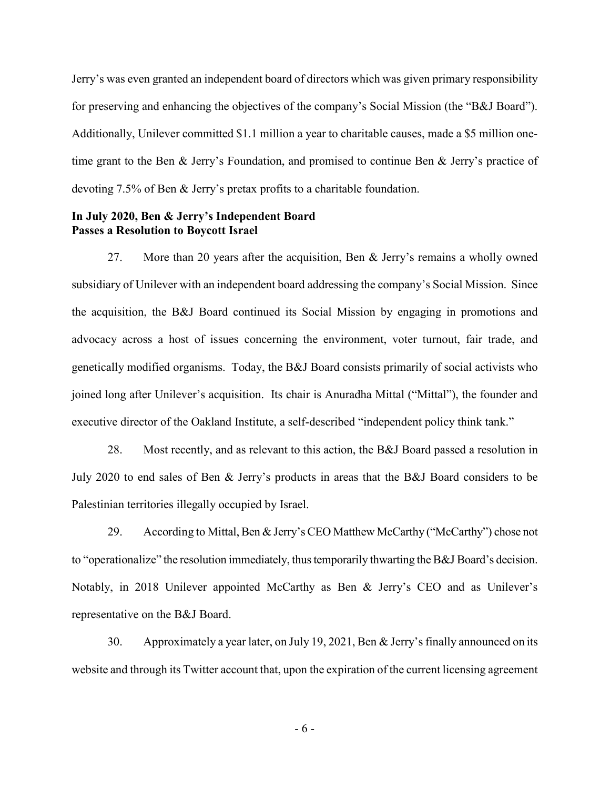Jerry's was even granted an independent board of directors which was given primary responsibility for preserving and enhancing the objectives of the company's Social Mission (the "B&J Board"). Additionally, Unilever committed \$1.1 million a year to charitable causes, made a \$5 million onetime grant to the Ben & Jerry's Foundation, and promised to continue Ben & Jerry's practice of devoting 7.5% of Ben & Jerry's pretax profits to a charitable foundation.

## **In July 2020, Ben & Jerry's Independent Board Passes a Resolution to Boycott Israel**

27. More than 20 years after the acquisition, Ben & Jerry's remains a wholly owned subsidiary of Unilever with an independent board addressing the company's Social Mission. Since the acquisition, the B&J Board continued its Social Mission by engaging in promotions and advocacy across a host of issues concerning the environment, voter turnout, fair trade, and genetically modified organisms. Today, the B&J Board consists primarily of social activists who joined long after Unilever's acquisition. Its chair is Anuradha Mittal ("Mittal"), the founder and executive director of the Oakland Institute, a self-described "independent policy think tank."

28. Most recently, and as relevant to this action, the B&J Board passed a resolution in July 2020 to end sales of Ben & Jerry's products in areas that the B&J Board considers to be Palestinian territories illegally occupied by Israel.

29. According to Mittal, Ben & Jerry's CEO Matthew McCarthy ("McCarthy") chose not to "operationalize" the resolution immediately, thus temporarily thwarting the B&J Board's decision. Notably, in 2018 Unilever appointed McCarthy as Ben & Jerry's CEO and as Unilever's representative on the B&J Board.

30. Approximately a year later, on July 19, 2021, Ben & Jerry's finally announced on its website and through its Twitter account that, upon the expiration of the current licensing agreement

- 6 -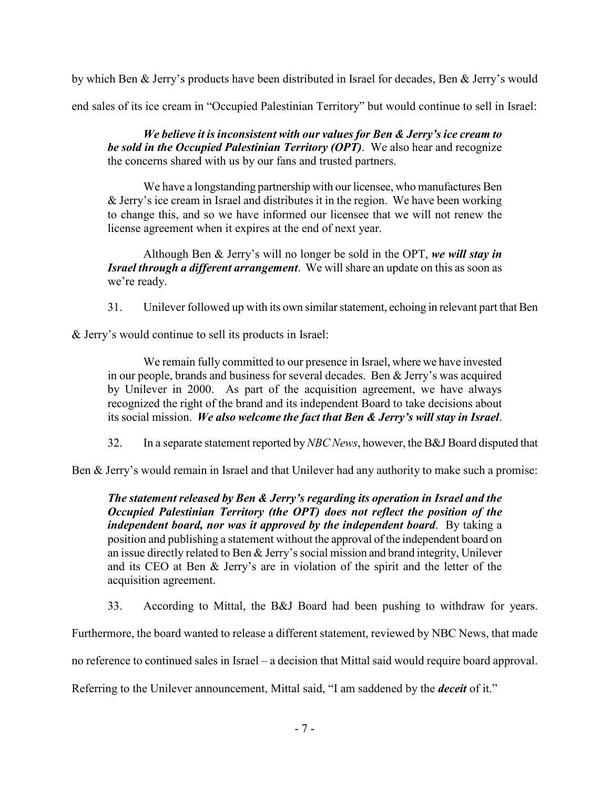by which Ben & Jerry's products have been distributed in Israel for decades, Ben & Jerry's would

end sales of its ice cream in "Occupied Palestinian Territory" but would continue to sell in Israel:

*We believe it is inconsistent with our values for Ben & Jerry's ice cream to be sold in the Occupied Palestinian Territory (OPT)*. We also hear and recognize the concerns shared with us by our fans and trusted partners.

We have a longstanding partnership with our licensee, who manufactures Ben & Jerry's ice cream in Israel and distributes it in the region. We have been working to change this, and so we have informed our licensee that we will not renew the license agreement when it expires at the end of next year.

Although Ben & Jerry's will no longer be sold in the OPT, *we will stay in Israel through a different arrangement*. We will share an update on this as soon as we're ready.

31. Unilever followed up with its own similar statement, echoing in relevant part that Ben

& Jerry's would continue to sell its products in Israel:

We remain fully committed to our presence in Israel, where we have invested in our people, brands and business for several decades. Ben & Jerry's was acquired by Unilever in 2000. As part of the acquisition agreement, we have always recognized the right of the brand and its independent Board to take decisions about its social mission. *We also welcome the fact that Ben & Jerry's will stay in Israel*.

32. In a separate statement reported by *NBC News*, however, the B&J Board disputed that

Ben & Jerry's would remain in Israel and that Unilever had any authority to make such a promise:

*The statement released by Ben & Jerry's regarding its operation in Israel and the Occupied Palestinian Territory (the OPT) does not reflect the position of the independent board, nor was it approved by the independent board*. By taking a position and publishing a statement without the approval of the independent board on an issue directly related to Ben & Jerry's social mission and brand integrity, Unilever and its CEO at Ben & Jerry's are in violation of the spirit and the letter of the acquisition agreement.

33. According to Mittal, the B&J Board had been pushing to withdraw for years.

Furthermore, the board wanted to release a different statement, reviewed by NBC News, that made

no reference to continued sales in Israel – a decision that Mittal said would require board approval.

Referring to the Unilever announcement, Mittal said, "I am saddened by the *deceit* of it."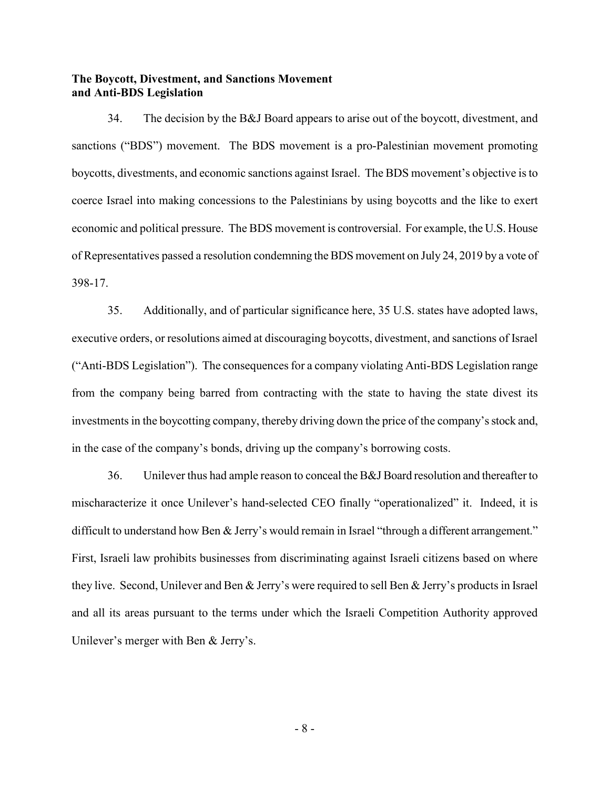### **The Boycott, Divestment, and Sanctions Movement and Anti-BDS Legislation**

34. The decision by the B&J Board appears to arise out of the boycott, divestment, and sanctions ("BDS") movement. The BDS movement is a pro-Palestinian movement promoting boycotts, divestments, and economic sanctions against Israel. The BDS movement's objective is to coerce Israel into making concessions to the Palestinians by using boycotts and the like to exert economic and political pressure. The BDS movement is controversial. For example, the U.S. House of Representatives passed a resolution condemning the BDS movement on July 24, 2019 by a vote of 398-17.

35. Additionally, and of particular significance here, 35 U.S. states have adopted laws, executive orders, or resolutions aimed at discouraging boycotts, divestment, and sanctions of Israel ("Anti-BDS Legislation"). The consequences for a company violating Anti-BDS Legislation range from the company being barred from contracting with the state to having the state divest its investments in the boycotting company, thereby driving down the price of the company's stock and, in the case of the company's bonds, driving up the company's borrowing costs.

36. Unilever thus had ample reason to conceal the B&J Board resolution and thereafter to mischaracterize it once Unilever's hand-selected CEO finally "operationalized" it. Indeed, it is difficult to understand how Ben & Jerry's would remain in Israel "through a different arrangement." First, Israeli law prohibits businesses from discriminating against Israeli citizens based on where they live. Second, Unilever and Ben & Jerry's were required to sell Ben & Jerry's products in Israel and all its areas pursuant to the terms under which the Israeli Competition Authority approved Unilever's merger with Ben & Jerry's.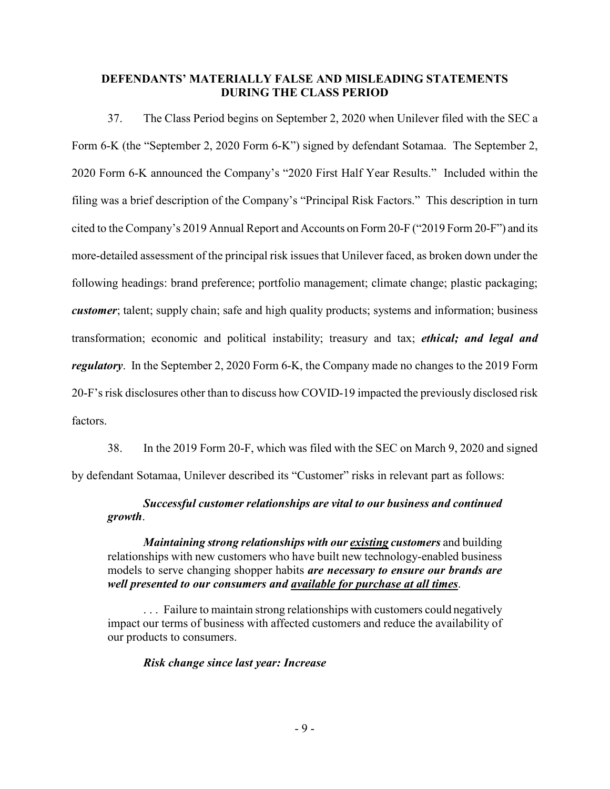### **DEFENDANTS' MATERIALLY FALSE AND MISLEADING STATEMENTS DURING THE CLASS PERIOD**

37. The Class Period begins on September 2, 2020 when Unilever filed with the SEC a Form 6-K (the "September 2, 2020 Form 6-K") signed by defendant Sotamaa. The September 2, 2020 Form 6-K announced the Company's "2020 First Half Year Results." Included within the filing was a brief description of the Company's "Principal Risk Factors." This description in turn cited to the Company's 2019 Annual Report and Accounts on Form 20-F ("2019 Form 20-F") and its more-detailed assessment of the principal risk issues that Unilever faced, as broken down under the following headings: brand preference; portfolio management; climate change; plastic packaging; *customer*; talent; supply chain; safe and high quality products; systems and information; business transformation; economic and political instability; treasury and tax; *ethical; and legal and regulatory*. In the September 2, 2020 Form 6-K, the Company made no changes to the 2019 Form 20-F's risk disclosures other than to discuss how COVID-19 impacted the previously disclosed risk factors.

38. In the 2019 Form 20-F, which was filed with the SEC on March 9, 2020 and signed by defendant Sotamaa, Unilever described its "Customer" risks in relevant part as follows:

## *Successful customer relationships are vital to our business and continued growth*.

*Maintaining strong relationships with our existing customers* and building relationships with new customers who have built new technology-enabled business models to serve changing shopper habits *are necessary to ensure our brands are well presented to our consumers and available for purchase at all times*.

... Failure to maintain strong relationships with customers could negatively impact our terms of business with affected customers and reduce the availability of our products to consumers.

## *Risk change since last year: Increase*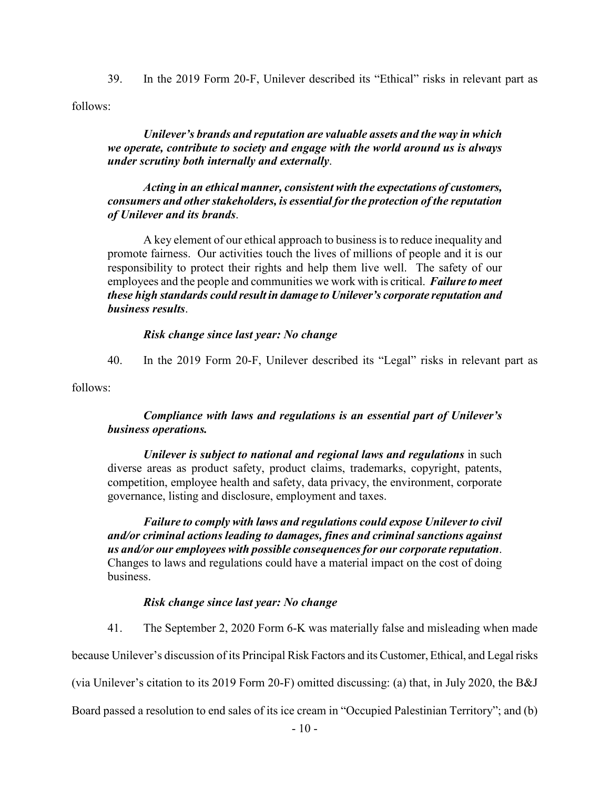39. In the 2019 Form 20-F, Unilever described its "Ethical" risks in relevant part as follows:

*Unilever's brands and reputation are valuable assets and the way in which we operate, contribute to society and engage with the world around us is always under scrutiny both internally and externally*.

*Acting in an ethical manner, consistent with the expectations of customers, consumers and other stakeholders, is essential for the protection of the reputation of Unilever and its brands*.

A key element of our ethical approach to business is to reduce inequality and promote fairness. Our activities touch the lives of millions of people and it is our responsibility to protect their rights and help them live well. The safety of our employees and the people and communities we work with is critical. *Failure to meet these high standards could result in damage to Unilever's corporate reputation and business results*.

## *Risk change since last year: No change*

40. In the 2019 Form 20-F, Unilever described its "Legal" risks in relevant part as

follows:

## *Compliance with laws and regulations is an essential part of Unilever's business operations.*

*Unilever is subject to national and regional laws and regulations* in such diverse areas as product safety, product claims, trademarks, copyright, patents, competition, employee health and safety, data privacy, the environment, corporate governance, listing and disclosure, employment and taxes.

*Failure to comply with laws and regulations could expose Unilever to civil and/or criminal actions leading to damages, fines and criminal sanctions against us and/or our employees with possible consequences for our corporate reputation*. Changes to laws and regulations could have a material impact on the cost of doing business.

## *Risk change since last year: No change*

41. The September 2, 2020 Form 6-K was materially false and misleading when made

because Unilever's discussion of its Principal Risk Factors and its Customer, Ethical, and Legal risks

(via Unilever's citation to its 2019 Form 20-F) omitted discussing: (a) that, in July 2020, the B&J

Board passed a resolution to end sales of its ice cream in "Occupied Palestinian Territory"; and (b)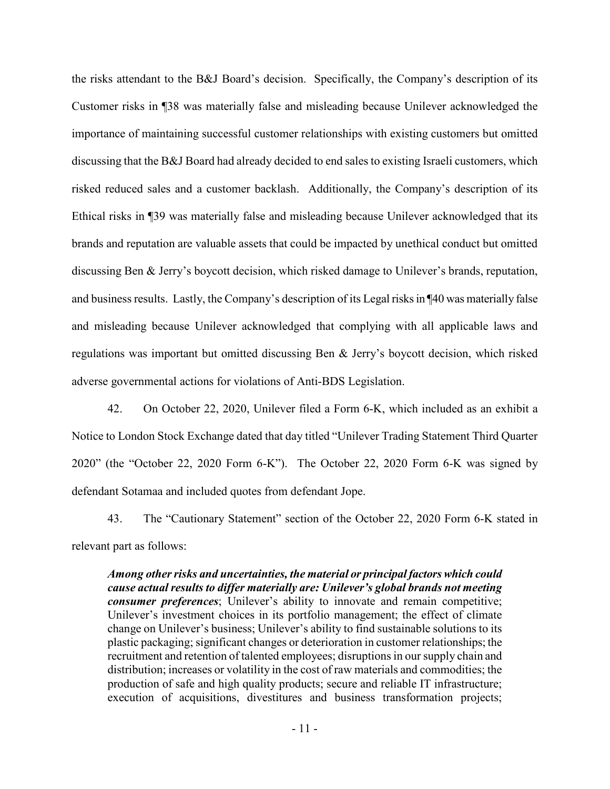the risks attendant to the B&J Board's decision. Specifically, the Company's description of its Customer risks in ¶38 was materially false and misleading because Unilever acknowledged the importance of maintaining successful customer relationships with existing customers but omitted discussing that the B&J Board had already decided to end sales to existing Israeli customers, which risked reduced sales and a customer backlash. Additionally, the Company's description of its Ethical risks in ¶39 was materially false and misleading because Unilever acknowledged that its brands and reputation are valuable assets that could be impacted by unethical conduct but omitted discussing Ben & Jerry's boycott decision, which risked damage to Unilever's brands, reputation, and business results. Lastly, the Company's description of its Legal risks in ¶40 was materially false and misleading because Unilever acknowledged that complying with all applicable laws and regulations was important but omitted discussing Ben & Jerry's boycott decision, which risked adverse governmental actions for violations of Anti-BDS Legislation.

42. On October 22, 2020, Unilever filed a Form 6-K, which included as an exhibit a Notice to London Stock Exchange dated that day titled "Unilever Trading Statement Third Quarter 2020" (the "October 22, 2020 Form 6-K"). The October 22, 2020 Form 6-K was signed by defendant Sotamaa and included quotes from defendant Jope.

43. The "Cautionary Statement" section of the October 22, 2020 Form 6-K stated in relevant part as follows:

*Among other risks and uncertainties, the material or principal factors which could cause actual results to differ materially are: Unilever's global brands not meeting consumer preferences*; Unilever's ability to innovate and remain competitive; Unilever's investment choices in its portfolio management; the effect of climate change on Unilever's business; Unilever's ability to find sustainable solutions to its plastic packaging; significant changes or deterioration in customer relationships; the recruitment and retention of talented employees; disruptions in our supply chain and distribution; increases or volatility in the cost of raw materials and commodities; the production of safe and high quality products; secure and reliable IT infrastructure; execution of acquisitions, divestitures and business transformation projects;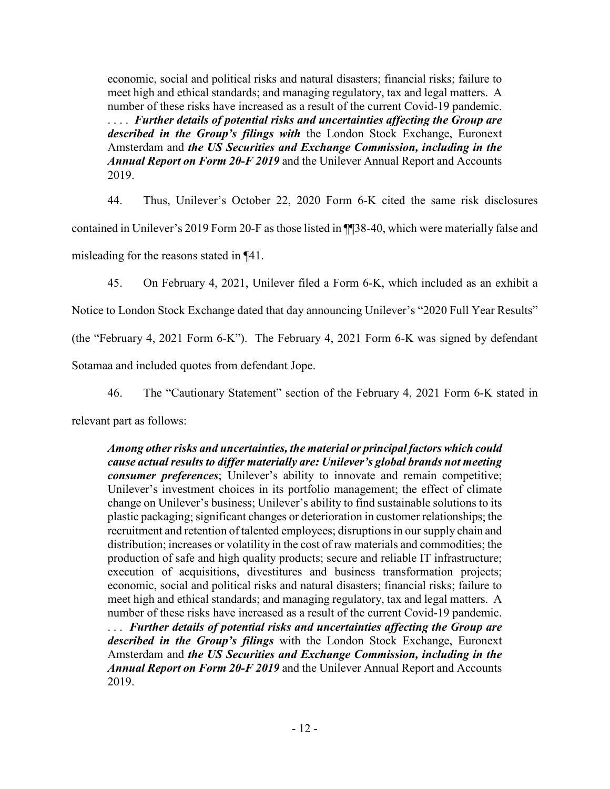economic, social and political risks and natural disasters; financial risks; failure to meet high and ethical standards; and managing regulatory, tax and legal matters. A number of these risks have increased as a result of the current Covid-19 pandemic. . . . . *Further details of potential risks and uncertainties affecting the Group are described in the Group's filings with* the London Stock Exchange, Euronext Amsterdam and *the US Securities and Exchange Commission, including in the Annual Report on Form 20-F 2019* and the Unilever Annual Report and Accounts 2019.

44. Thus, Unilever's October 22, 2020 Form 6-K cited the same risk disclosures contained in Unilever's 2019 Form 20-F as those listed in ¶¶38-40, which were materially false and misleading for the reasons stated in ¶41.

45. On February 4, 2021, Unilever filed a Form 6-K, which included as an exhibit a

Notice to London Stock Exchange dated that day announcing Unilever's "2020 Full Year Results"

(the "February 4, 2021 Form 6-K"). The February 4, 2021 Form 6-K was signed by defendant

Sotamaa and included quotes from defendant Jope.

46. The "Cautionary Statement" section of the February 4, 2021 Form 6-K stated in

relevant part as follows:

*Among other risks and uncertainties, the material or principal factors which could cause actual results to differ materially are: Unilever's global brands not meeting consumer preferences*; Unilever's ability to innovate and remain competitive; Unilever's investment choices in its portfolio management; the effect of climate change on Unilever's business; Unilever's ability to find sustainable solutions to its plastic packaging; significant changes or deterioration in customer relationships; the recruitment and retention of talented employees; disruptions in our supply chain and distribution; increases or volatility in the cost of raw materials and commodities; the production of safe and high quality products; secure and reliable IT infrastructure; execution of acquisitions, divestitures and business transformation projects; economic, social and political risks and natural disasters; financial risks; failure to meet high and ethical standards; and managing regulatory, tax and legal matters. A number of these risks have increased as a result of the current Covid-19 pandemic. . . . *Further details of potential risks and uncertainties affecting the Group are described in the Group's filings* with the London Stock Exchange, Euronext Amsterdam and *the US Securities and Exchange Commission, including in the Annual Report on Form 20-F 2019* and the Unilever Annual Report and Accounts 2019.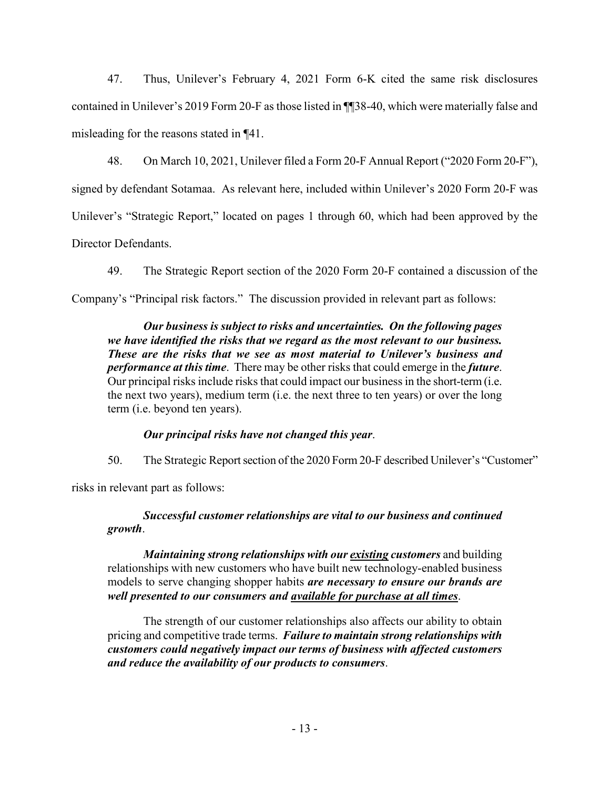47. Thus, Unilever's February 4, 2021 Form 6-K cited the same risk disclosures contained in Unilever's 2019 Form 20-F as those listed in ¶¶38-40, which were materially false and misleading for the reasons stated in ¶41.

48. On March 10, 2021, Unilever filed a Form 20-F Annual Report ("2020 Form 20-F"), signed by defendant Sotamaa. As relevant here, included within Unilever's 2020 Form 20-F was Unilever's "Strategic Report," located on pages 1 through 60, which had been approved by the Director Defendants.

49. The Strategic Report section of the 2020 Form 20-F contained a discussion of the Company's "Principal risk factors." The discussion provided in relevant part as follows:

*Our business is subject to risks and uncertainties. On the following pages we have identified the risks that we regard as the most relevant to our business. These are the risks that we see as most material to Unilever's business and performance at this time*. There may be other risks that could emerge in the *future*. Our principal risks include risks that could impact our business in the short-term (i.e. the next two years), medium term (i.e. the next three to ten years) or over the long term (i.e. beyond ten years).

## *Our principal risks have not changed this year*.

50. The Strategic Report section of the 2020 Form 20-F described Unilever's "Customer"

risks in relevant part as follows:

# *Successful customer relationships are vital to our business and continued growth*.

*Maintaining strong relationships with our existing customers* and building relationships with new customers who have built new technology-enabled business models to serve changing shopper habits *are necessary to ensure our brands are well presented to our consumers and available for purchase at all times*.

The strength of our customer relationships also affects our ability to obtain pricing and competitive trade terms. *Failure to maintain strong relationships with customers could negatively impact our terms of business with affected customers and reduce the availability of our products to consumers*.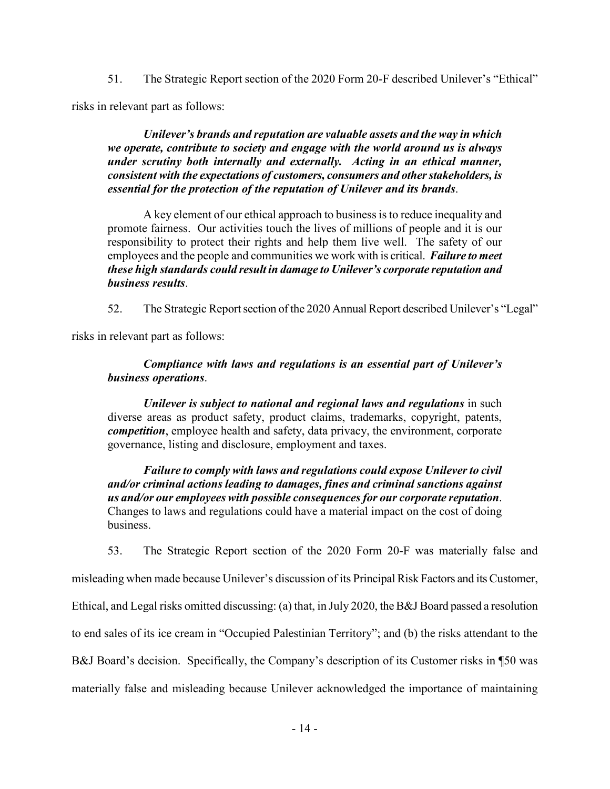51. The Strategic Report section of the 2020 Form 20-F described Unilever's "Ethical"

risks in relevant part as follows:

*Unilever's brands and reputation are valuable assets and the way in which we operate, contribute to society and engage with the world around us is always under scrutiny both internally and externally. Acting in an ethical manner, consistent with the expectations of customers, consumers and other stakeholders, is essential for the protection of the reputation of Unilever and its brands*.

A key element of our ethical approach to business is to reduce inequality and promote fairness. Our activities touch the lives of millions of people and it is our responsibility to protect their rights and help them live well. The safety of our employees and the people and communities we work with is critical. *Failure to meet these high standards could result in damage to Unilever's corporate reputation and business results*.

52. The Strategic Report section of the 2020 Annual Report described Unilever's "Legal"

risks in relevant part as follows:

# *Compliance with laws and regulations is an essential part of Unilever's business operations*.

*Unilever is subject to national and regional laws and regulations* in such diverse areas as product safety, product claims, trademarks, copyright, patents, *competition*, employee health and safety, data privacy, the environment, corporate governance, listing and disclosure, employment and taxes.

*Failure to comply with laws and regulations could expose Unilever to civil and/or criminal actions leading to damages, fines and criminal sanctions against us and/or our employees with possible consequences for our corporate reputation*. Changes to laws and regulations could have a material impact on the cost of doing business.

53. The Strategic Report section of the 2020 Form 20-F was materially false and

misleading when made because Unilever's discussion of its Principal Risk Factors and its Customer,

Ethical, and Legal risks omitted discussing: (a) that, in July 2020, the B&J Board passed a resolution

to end sales of its ice cream in "Occupied Palestinian Territory"; and (b) the risks attendant to the

B&J Board's decision. Specifically, the Company's description of its Customer risks in ¶50 was

materially false and misleading because Unilever acknowledged the importance of maintaining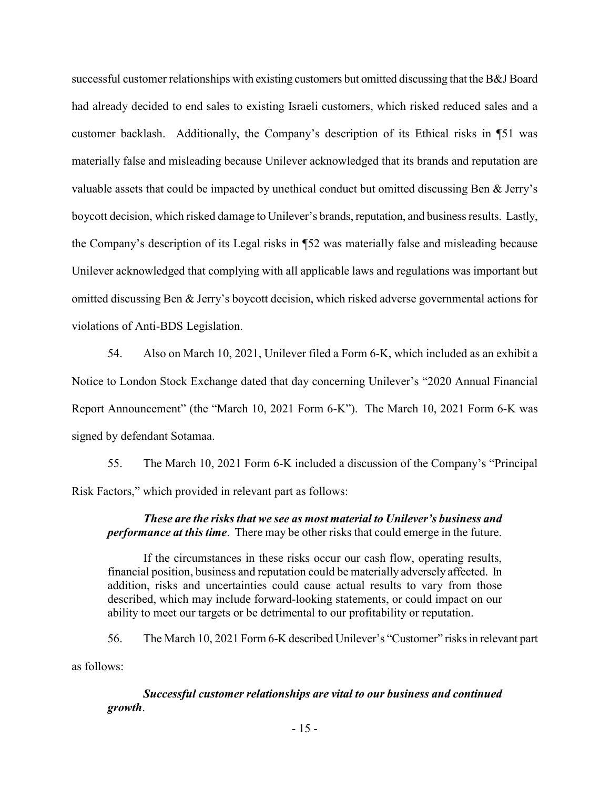successful customer relationships with existing customers but omitted discussing that the B&J Board had already decided to end sales to existing Israeli customers, which risked reduced sales and a customer backlash. Additionally, the Company's description of its Ethical risks in ¶51 was materially false and misleading because Unilever acknowledged that its brands and reputation are valuable assets that could be impacted by unethical conduct but omitted discussing Ben & Jerry's boycott decision, which risked damage to Unilever's brands, reputation, and business results. Lastly, the Company's description of its Legal risks in ¶52 was materially false and misleading because Unilever acknowledged that complying with all applicable laws and regulations was important but omitted discussing Ben & Jerry's boycott decision, which risked adverse governmental actions for violations of Anti-BDS Legislation.

54. Also on March 10, 2021, Unilever filed a Form 6-K, which included as an exhibit a Notice to London Stock Exchange dated that day concerning Unilever's "2020 Annual Financial Report Announcement" (the "March 10, 2021 Form 6-K"). The March 10, 2021 Form 6-K was signed by defendant Sotamaa.

55. The March 10, 2021 Form 6-K included a discussion of the Company's "Principal Risk Factors," which provided in relevant part as follows:

## *These are the risks that we see as most material to Unilever's business and performance at this time*. There may be other risks that could emerge in the future.

If the circumstances in these risks occur our cash flow, operating results, financial position, business and reputation could be materially adversely affected. In addition, risks and uncertainties could cause actual results to vary from those described, which may include forward-looking statements, or could impact on our ability to meet our targets or be detrimental to our profitability or reputation.

56. The March 10, 2021 Form 6-K described Unilever's "Customer" risks in relevant part as follows:

*Successful customer relationships are vital to our business and continued growth*.

- 15 -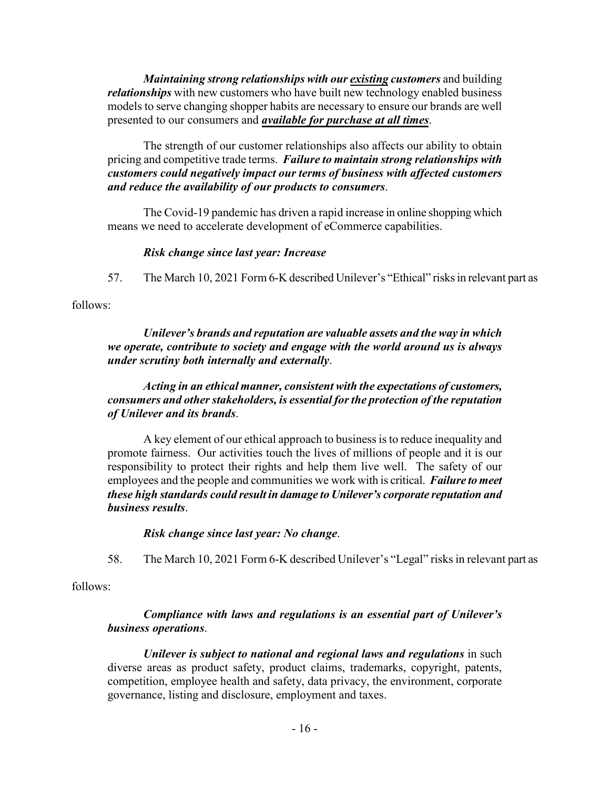*Maintaining strong relationships with our existing customers* and building *relationships* with new customers who have built new technology enabled business models to serve changing shopper habits are necessary to ensure our brands are well presented to our consumers and *available for purchase at all times*.

The strength of our customer relationships also affects our ability to obtain pricing and competitive trade terms. *Failure to maintain strong relationships with customers could negatively impact our terms of business with affected customers and reduce the availability of our products to consumers*.

The Covid-19 pandemic has driven a rapid increase in online shopping which means we need to accelerate development of eCommerce capabilities.

## *Risk change since last year: Increase*

57. The March 10, 2021 Form 6-K described Unilever's "Ethical" risks in relevant part as

follows:

## *Unilever's brands and reputation are valuable assets and the way in which we operate, contribute to society and engage with the world around us is always under scrutiny both internally and externally*.

## *Acting in an ethical manner, consistent with the expectations of customers, consumers and other stakeholders, is essential for the protection of the reputation of Unilever and its brands*.

A key element of our ethical approach to business is to reduce inequality and promote fairness. Our activities touch the lives of millions of people and it is our responsibility to protect their rights and help them live well. The safety of our employees and the people and communities we work with is critical. *Failure to meet these high standards could result in damage to Unilever's corporate reputation and business results*.

## *Risk change since last year: No change*.

58. The March 10, 2021 Form 6-K described Unilever's "Legal" risks in relevant part as

follows:

## *Compliance with laws and regulations is an essential part of Unilever's business operations*.

*Unilever is subject to national and regional laws and regulations* in such diverse areas as product safety, product claims, trademarks, copyright, patents, competition, employee health and safety, data privacy, the environment, corporate governance, listing and disclosure, employment and taxes.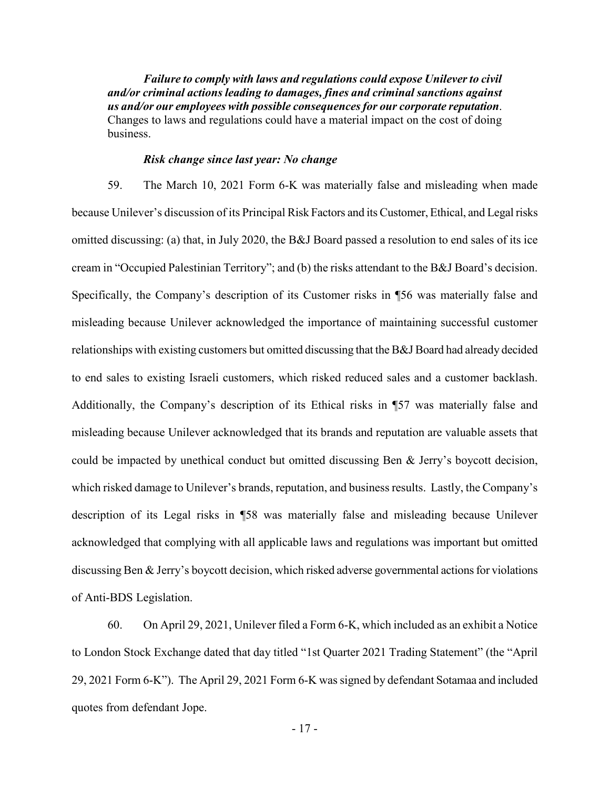*Failure to comply with laws and regulations could expose Unilever to civil and/or criminal actions leading to damages, fines and criminal sanctions against us and/or our employees with possible consequences for our corporate reputation*. Changes to laws and regulations could have a material impact on the cost of doing business.

#### *Risk change since last year: No change*

59. The March 10, 2021 Form 6-K was materially false and misleading when made because Unilever's discussion of its Principal Risk Factors and its Customer, Ethical, and Legal risks omitted discussing: (a) that, in July 2020, the B&J Board passed a resolution to end sales of its ice cream in "Occupied Palestinian Territory"; and (b) the risks attendant to the B&J Board's decision. Specifically, the Company's description of its Customer risks in ¶56 was materially false and misleading because Unilever acknowledged the importance of maintaining successful customer relationships with existing customers but omitted discussing that the B&J Board had already decided to end sales to existing Israeli customers, which risked reduced sales and a customer backlash. Additionally, the Company's description of its Ethical risks in ¶57 was materially false and misleading because Unilever acknowledged that its brands and reputation are valuable assets that could be impacted by unethical conduct but omitted discussing Ben & Jerry's boycott decision, which risked damage to Unilever's brands, reputation, and business results. Lastly, the Company's description of its Legal risks in ¶58 was materially false and misleading because Unilever acknowledged that complying with all applicable laws and regulations was important but omitted discussing Ben & Jerry's boycott decision, which risked adverse governmental actions for violations of Anti-BDS Legislation.

60. On April 29, 2021, Unilever filed a Form 6-K, which included as an exhibit a Notice to London Stock Exchange dated that day titled "1st Quarter 2021 Trading Statement" (the "April 29, 2021 Form 6-K"). The April 29, 2021 Form 6-K was signed by defendant Sotamaa and included quotes from defendant Jope.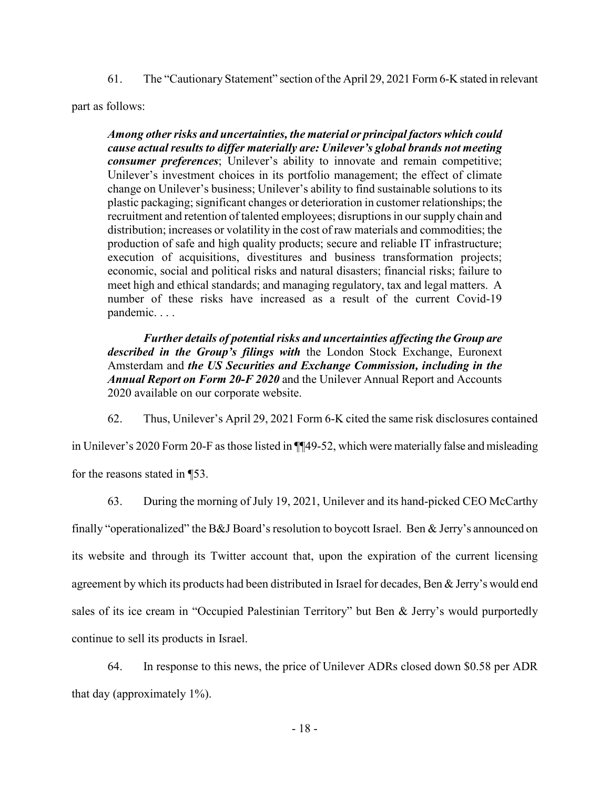61. The "Cautionary Statement" section of the April 29, 2021 Form 6-K stated in relevant

part as follows:

*Among other risks and uncertainties, the material or principal factors which could cause actual results to differ materially are: Unilever's global brands not meeting consumer preferences*; Unilever's ability to innovate and remain competitive; Unilever's investment choices in its portfolio management; the effect of climate change on Unilever's business; Unilever's ability to find sustainable solutions to its plastic packaging; significant changes or deterioration in customer relationships; the recruitment and retention of talented employees; disruptions in our supply chain and distribution; increases or volatility in the cost of raw materials and commodities; the production of safe and high quality products; secure and reliable IT infrastructure; execution of acquisitions, divestitures and business transformation projects; economic, social and political risks and natural disasters; financial risks; failure to meet high and ethical standards; and managing regulatory, tax and legal matters. A number of these risks have increased as a result of the current Covid-19 pandemic. . . .

*Further details of potential risks and uncertainties affecting the Group are described in the Group's filings with* the London Stock Exchange, Euronext Amsterdam and *the US Securities and Exchange Commission, including in the Annual Report on Form 20-F 2020* and the Unilever Annual Report and Accounts 2020 available on our corporate website.

62. Thus, Unilever's April 29, 2021 Form 6-K cited the same risk disclosures contained

in Unilever's 2020 Form 20-F as those listed in ¶¶49-52, which were materially false and misleading for the reasons stated in ¶53.

63. During the morning of July 19, 2021, Unilever and its hand-picked CEO McCarthy finally "operationalized" the B&J Board's resolution to boycott Israel. Ben & Jerry's announced on its website and through its Twitter account that, upon the expiration of the current licensing agreement by which its products had been distributed in Israel for decades, Ben & Jerry's would end sales of its ice cream in "Occupied Palestinian Territory" but Ben & Jerry's would purportedly continue to sell its products in Israel.

64. In response to this news, the price of Unilever ADRs closed down \$0.58 per ADR that day (approximately 1%).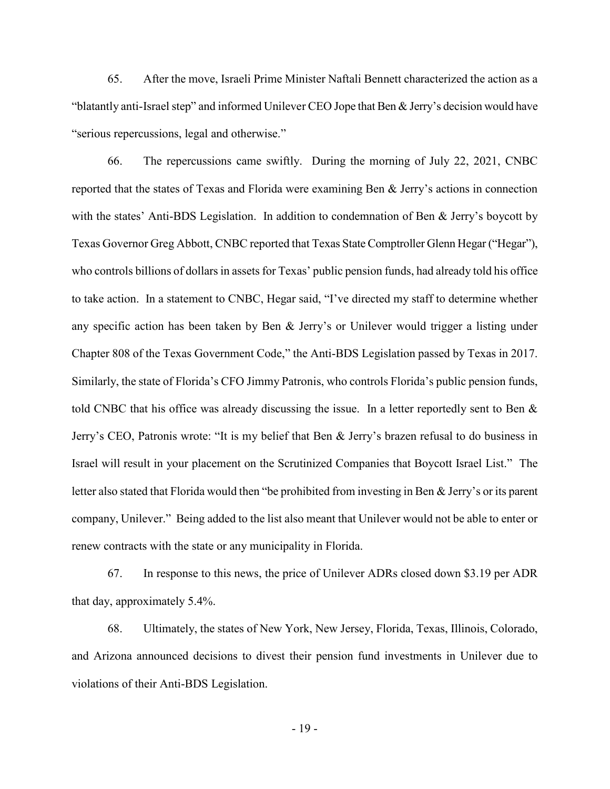65. After the move, Israeli Prime Minister Naftali Bennett characterized the action as a "blatantly anti-Israel step" and informed Unilever CEO Jope that Ben & Jerry's decision would have "serious repercussions, legal and otherwise."

66. The repercussions came swiftly. During the morning of July 22, 2021, CNBC reported that the states of Texas and Florida were examining Ben & Jerry's actions in connection with the states' Anti-BDS Legislation. In addition to condemnation of Ben & Jerry's boycott by Texas Governor Greg Abbott, CNBC reported that Texas State Comptroller Glenn Hegar ("Hegar"), who controls billions of dollars in assets for Texas' public pension funds, had already told his office to take action. In a statement to CNBC, Hegar said, "I've directed my staff to determine whether any specific action has been taken by Ben & Jerry's or Unilever would trigger a listing under Chapter 808 of the Texas Government Code," the Anti-BDS Legislation passed by Texas in 2017. Similarly, the state of Florida's CFO Jimmy Patronis, who controls Florida's public pension funds, told CNBC that his office was already discussing the issue. In a letter reportedly sent to Ben & Jerry's CEO, Patronis wrote: "It is my belief that Ben & Jerry's brazen refusal to do business in Israel will result in your placement on the Scrutinized Companies that Boycott Israel List." The letter also stated that Florida would then "be prohibited from investing in Ben & Jerry's or its parent company, Unilever." Being added to the list also meant that Unilever would not be able to enter or renew contracts with the state or any municipality in Florida.

67. In response to this news, the price of Unilever ADRs closed down \$3.19 per ADR that day, approximately 5.4%.

68. Ultimately, the states of New York, New Jersey, Florida, Texas, Illinois, Colorado, and Arizona announced decisions to divest their pension fund investments in Unilever due to violations of their Anti-BDS Legislation.

- 19 -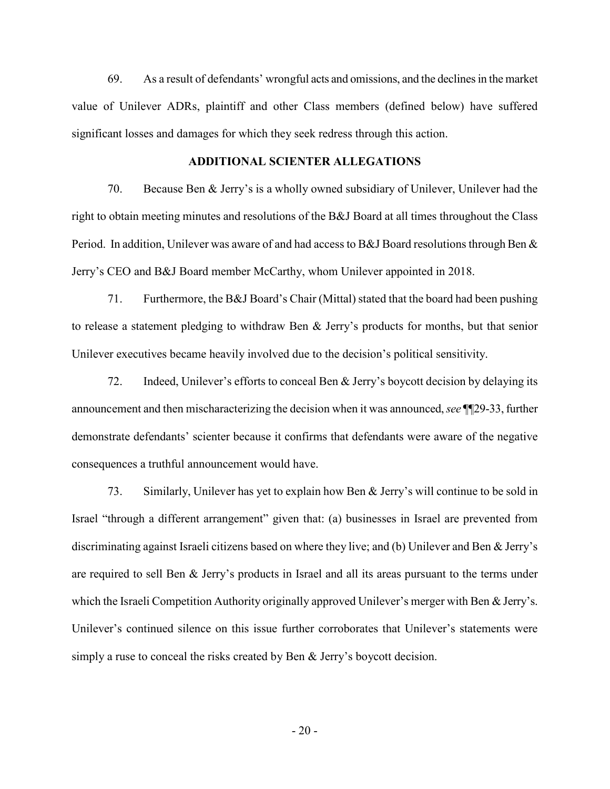69. As a result of defendants' wrongful acts and omissions, and the declines in the market value of Unilever ADRs, plaintiff and other Class members (defined below) have suffered significant losses and damages for which they seek redress through this action.

### **ADDITIONAL SCIENTER ALLEGATIONS**

70. Because Ben & Jerry's is a wholly owned subsidiary of Unilever, Unilever had the right to obtain meeting minutes and resolutions of the B&J Board at all times throughout the Class Period. In addition, Unilever was aware of and had access to B&J Board resolutions through Ben & Jerry's CEO and B&J Board member McCarthy, whom Unilever appointed in 2018.

71. Furthermore, the B&J Board's Chair (Mittal) stated that the board had been pushing to release a statement pledging to withdraw Ben & Jerry's products for months, but that senior Unilever executives became heavily involved due to the decision's political sensitivity.

72. Indeed, Unilever's efforts to conceal Ben & Jerry's boycott decision by delaying its announcement and then mischaracterizing the decision when it was announced, *see* ¶¶29-33, further demonstrate defendants' scienter because it confirms that defendants were aware of the negative consequences a truthful announcement would have.

73. Similarly, Unilever has yet to explain how Ben & Jerry's will continue to be sold in Israel "through a different arrangement" given that: (a) businesses in Israel are prevented from discriminating against Israeli citizens based on where they live; and (b) Unilever and Ben & Jerry's are required to sell Ben & Jerry's products in Israel and all its areas pursuant to the terms under which the Israeli Competition Authority originally approved Unilever's merger with Ben & Jerry's. Unilever's continued silence on this issue further corroborates that Unilever's statements were simply a ruse to conceal the risks created by Ben & Jerry's boycott decision.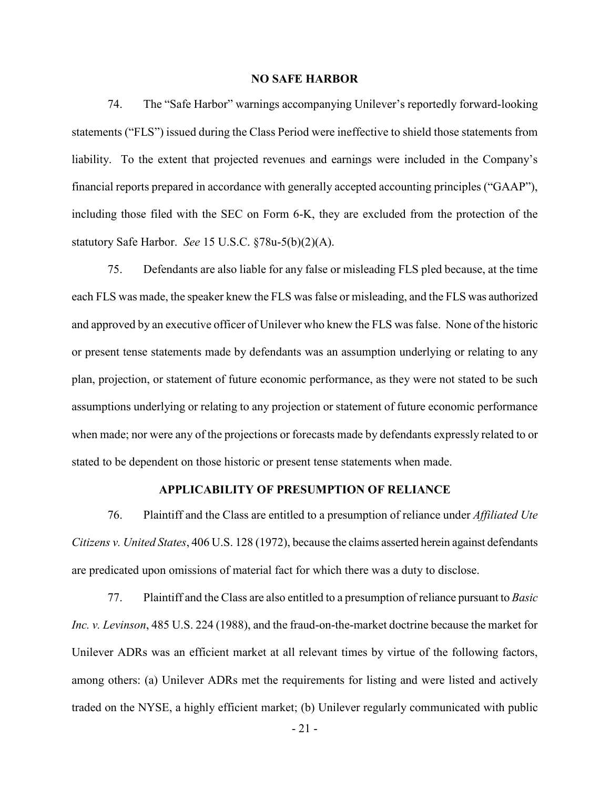### **NO SAFE HARBOR**

74. The "Safe Harbor" warnings accompanying Unilever's reportedly forward-looking statements ("FLS") issued during the Class Period were ineffective to shield those statements from liability. To the extent that projected revenues and earnings were included in the Company's financial reports prepared in accordance with generally accepted accounting principles ("GAAP"), including those filed with the SEC on Form 6-K, they are excluded from the protection of the statutory Safe Harbor. *See* 15 U.S.C. §78u-5(b)(2)(A).

75. Defendants are also liable for any false or misleading FLS pled because, at the time each FLS was made, the speaker knew the FLS was false or misleading, and the FLS was authorized and approved by an executive officer of Unilever who knew the FLS was false. None of the historic or present tense statements made by defendants was an assumption underlying or relating to any plan, projection, or statement of future economic performance, as they were not stated to be such assumptions underlying or relating to any projection or statement of future economic performance when made; nor were any of the projections or forecasts made by defendants expressly related to or stated to be dependent on those historic or present tense statements when made.

### **APPLICABILITY OF PRESUMPTION OF RELIANCE**

76. Plaintiff and the Class are entitled to a presumption of reliance under *Affiliated Ute Citizens v. United States*, 406 U.S. 128 (1972), because the claims asserted herein against defendants are predicated upon omissions of material fact for which there was a duty to disclose.

77. Plaintiff and the Class are also entitled to a presumption of reliance pursuant to *Basic Inc. v. Levinson*, 485 U.S. 224 (1988), and the fraud-on-the-market doctrine because the market for Unilever ADRs was an efficient market at all relevant times by virtue of the following factors, among others: (a) Unilever ADRs met the requirements for listing and were listed and actively traded on the NYSE, a highly efficient market; (b) Unilever regularly communicated with public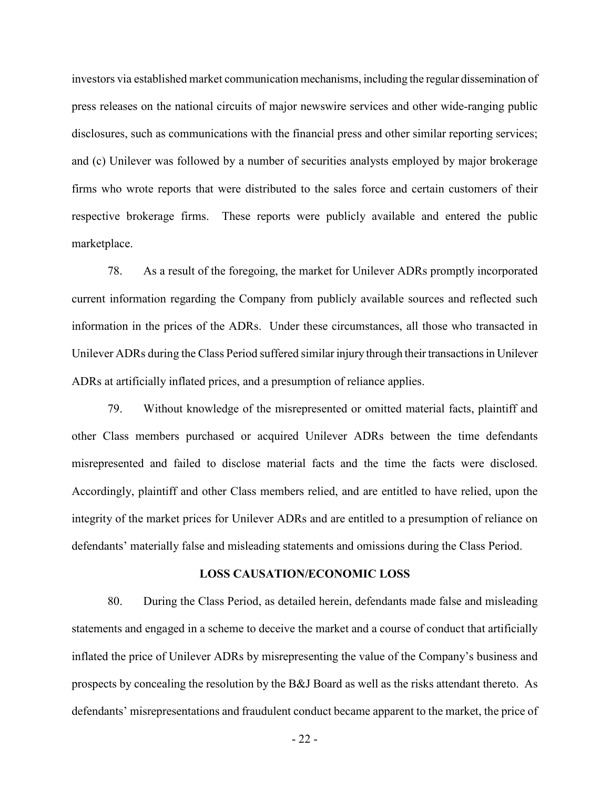investors via established market communication mechanisms, including the regular dissemination of press releases on the national circuits of major newswire services and other wide-ranging public disclosures, such as communications with the financial press and other similar reporting services; and (c) Unilever was followed by a number of securities analysts employed by major brokerage firms who wrote reports that were distributed to the sales force and certain customers of their respective brokerage firms. These reports were publicly available and entered the public marketplace.

78. As a result of the foregoing, the market for Unilever ADRs promptly incorporated current information regarding the Company from publicly available sources and reflected such information in the prices of the ADRs. Under these circumstances, all those who transacted in Unilever ADRs during the Class Period suffered similar injury through their transactions in Unilever ADRs at artificially inflated prices, and a presumption of reliance applies.

79. Without knowledge of the misrepresented or omitted material facts, plaintiff and other Class members purchased or acquired Unilever ADRs between the time defendants misrepresented and failed to disclose material facts and the time the facts were disclosed. Accordingly, plaintiff and other Class members relied, and are entitled to have relied, upon the integrity of the market prices for Unilever ADRs and are entitled to a presumption of reliance on defendants' materially false and misleading statements and omissions during the Class Period.

#### **LOSS CAUSATION/ECONOMIC LOSS**

80. During the Class Period, as detailed herein, defendants made false and misleading statements and engaged in a scheme to deceive the market and a course of conduct that artificially inflated the price of Unilever ADRs by misrepresenting the value of the Company's business and prospects by concealing the resolution by the B&J Board as well as the risks attendant thereto. As defendants' misrepresentations and fraudulent conduct became apparent to the market, the price of

- 22 -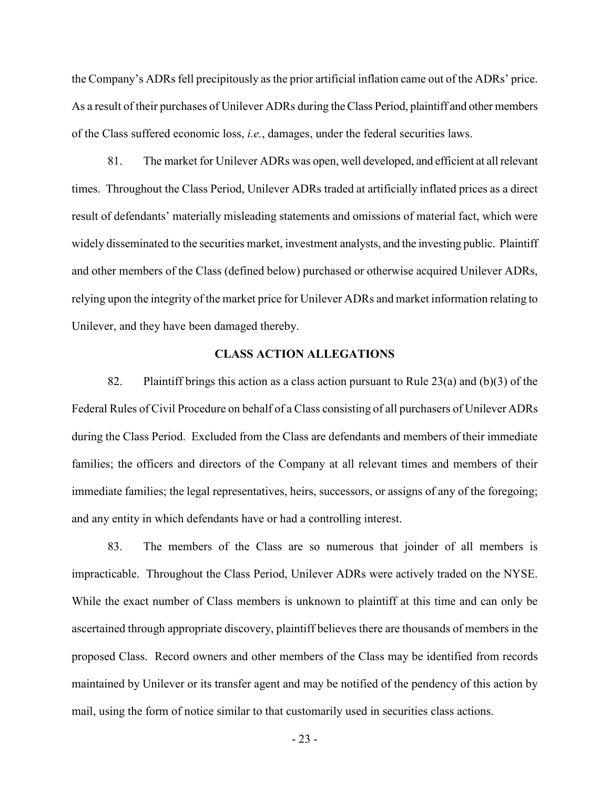the Company's ADRs fell precipitously as the prior artificial inflation came out of the ADRs' price. As a result of their purchases of Unilever ADRs during the Class Period, plaintiff and other members of the Class suffered economic loss, *i.e.*, damages, under the federal securities laws.

81. The market for Unilever ADRs was open, well developed, and efficient at all relevant times. Throughout the Class Period, Unilever ADRs traded at artificially inflated prices as a direct result of defendants' materially misleading statements and omissions of material fact, which were widely disseminated to the securities market, investment analysts, and the investing public. Plaintiff and other members of the Class (defined below) purchased or otherwise acquired Unilever ADRs, relying upon the integrity of the market price for Unilever ADRs and market information relating to Unilever, and they have been damaged thereby.

#### **CLASS ACTION ALLEGATIONS**

82. Plaintiff brings this action as a class action pursuant to Rule  $23(a)$  and (b)(3) of the Federal Rules of Civil Procedure on behalf of a Class consisting of all purchasers of Unilever ADRs during the Class Period. Excluded from the Class are defendants and members of their immediate families; the officers and directors of the Company at all relevant times and members of their immediate families; the legal representatives, heirs, successors, or assigns of any of the foregoing; and any entity in which defendants have or had a controlling interest.

83. The members of the Class are so numerous that joinder of all members is impracticable. Throughout the Class Period, Unilever ADRs were actively traded on the NYSE. While the exact number of Class members is unknown to plaintiff at this time and can only be ascertained through appropriate discovery, plaintiff believes there are thousands of members in the proposed Class. Record owners and other members of the Class may be identified from records maintained by Unilever or its transfer agent and may be notified of the pendency of this action by mail, using the form of notice similar to that customarily used in securities class actions.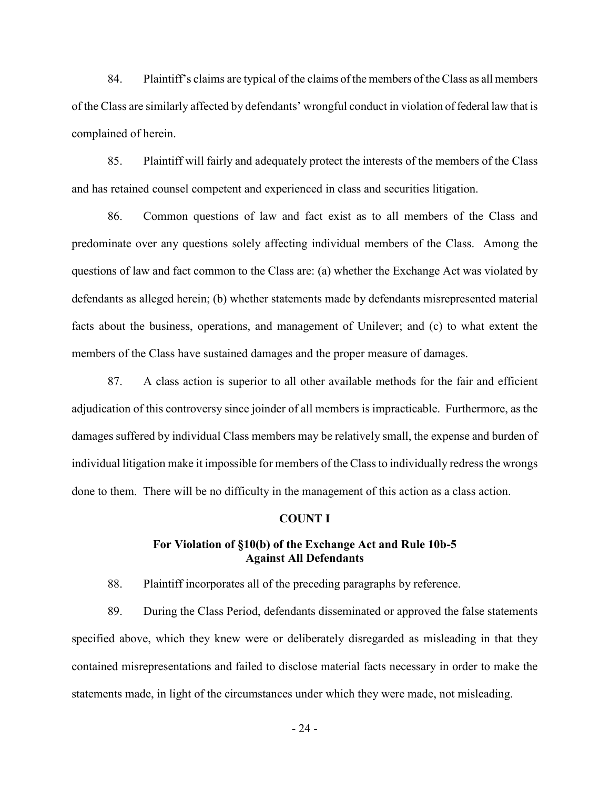84. Plaintiff's claims are typical of the claims of the members of the Class as all members of the Class are similarly affected by defendants' wrongful conduct in violation of federal law that is complained of herein.

85. Plaintiff will fairly and adequately protect the interests of the members of the Class and has retained counsel competent and experienced in class and securities litigation.

86. Common questions of law and fact exist as to all members of the Class and predominate over any questions solely affecting individual members of the Class. Among the questions of law and fact common to the Class are: (a) whether the Exchange Act was violated by defendants as alleged herein; (b) whether statements made by defendants misrepresented material facts about the business, operations, and management of Unilever; and (c) to what extent the members of the Class have sustained damages and the proper measure of damages.

87. A class action is superior to all other available methods for the fair and efficient adjudication of this controversy since joinder of all members is impracticable. Furthermore, as the damages suffered by individual Class members may be relatively small, the expense and burden of individual litigation make it impossible for members of the Class to individually redress the wrongs done to them. There will be no difficulty in the management of this action as a class action.

#### **COUNT I**

### **For Violation of §10(b) of the Exchange Act and Rule 10b-5 Against All Defendants**

88. Plaintiff incorporates all of the preceding paragraphs by reference.

89. During the Class Period, defendants disseminated or approved the false statements specified above, which they knew were or deliberately disregarded as misleading in that they contained misrepresentations and failed to disclose material facts necessary in order to make the statements made, in light of the circumstances under which they were made, not misleading.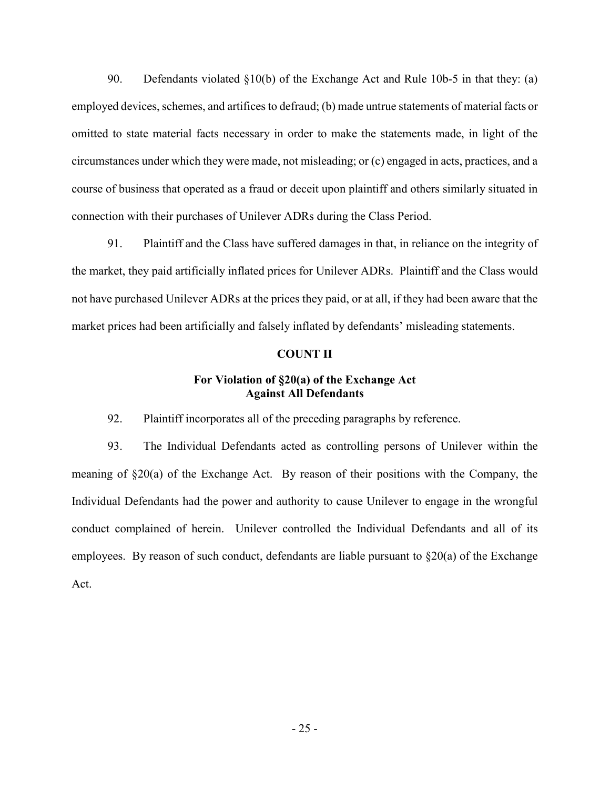90. Defendants violated §10(b) of the Exchange Act and Rule 10b-5 in that they: (a) employed devices, schemes, and artifices to defraud; (b) made untrue statements of material facts or omitted to state material facts necessary in order to make the statements made, in light of the circumstances under which they were made, not misleading; or (c) engaged in acts, practices, and a course of business that operated as a fraud or deceit upon plaintiff and others similarly situated in connection with their purchases of Unilever ADRs during the Class Period.

91. Plaintiff and the Class have suffered damages in that, in reliance on the integrity of the market, they paid artificially inflated prices for Unilever ADRs. Plaintiff and the Class would not have purchased Unilever ADRs at the prices they paid, or at all, if they had been aware that the market prices had been artificially and falsely inflated by defendants' misleading statements.

### **COUNT II**

## **For Violation of §20(a) of the Exchange Act Against All Defendants**

92. Plaintiff incorporates all of the preceding paragraphs by reference.

93. The Individual Defendants acted as controlling persons of Unilever within the meaning of §20(a) of the Exchange Act. By reason of their positions with the Company, the Individual Defendants had the power and authority to cause Unilever to engage in the wrongful conduct complained of herein. Unilever controlled the Individual Defendants and all of its employees. By reason of such conduct, defendants are liable pursuant to  $\S20(a)$  of the Exchange Act.